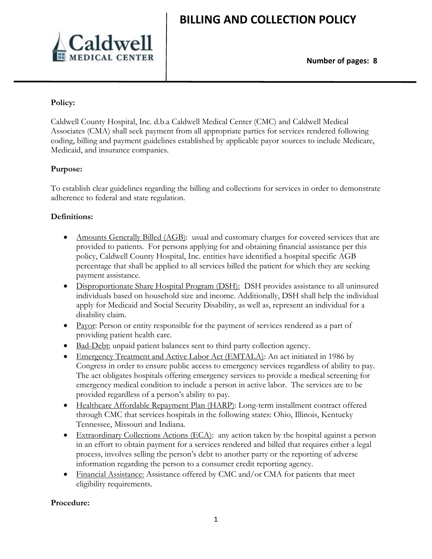

### **Policy:**

Caldwell County Hospital, Inc. d.b.a Caldwell Medical Center (CMC) and Caldwell Medical Associates (CMA) shall seek payment from all appropriate parties for services rendered following coding, billing and payment guidelines established by applicable payor sources to include Medicare, Medicaid, and insurance companies.

### **Purpose:**

To establish clear guidelines regarding the billing and collections for services in order to demonstrate adherence to federal and state regulation.

### **Definitions:**

- Amounts Generally Billed (AGB): usual and customary charges for covered services that are provided to patients. For persons applying for and obtaining financial assistance per this policy, Caldwell County Hospital, Inc. entities have identified a hospital specific AGB percentage that shall be applied to all services billed the patient for which they are seeking payment assistance.
- Disproportionate Share Hospital Program (DSH): DSH provides assistance to all uninsured individuals based on household size and income. Additionally, DSH shall help the individual apply for Medicaid and Social Security Disability, as well as, represent an individual for a disability claim.
- Payor: Person or entity responsible for the payment of services rendered as a part of providing patient health care.
- Bad-Debt: unpaid patient balances sent to third party collection agency.
- Emergency Treatment and Active Labor Act (EMTALA): An act initiated in 1986 by Congress in order to ensure public access to emergency services regardless of ability to pay. The act obligates hospitals offering emergency services to provide a medical screening for emergency medical condition to include a person in active labor. The services are to be provided regardless of a person's ability to pay.
- Healthcare Affordable Repayment Plan (HARP): Long-term installment contract offered through CMC that services hospitals in the following states: Ohio, Illinois, Kentucky Tennessee, Missouri and Indiana.
- Extraordinary Collections Actions (ECA): any action taken by the hospital against a person in an effort to obtain payment for a services rendered and billed that requires either a legal process, involves selling the person's debt to another party or the reporting of adverse information regarding the person to a consumer credit reporting agency.
- Financial Assistance: Assistance offered by CMC and/or CMA for patients that meet eligibility requirements.

#### **Procedure:**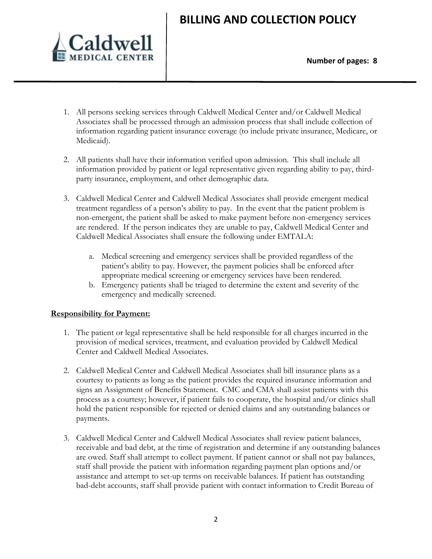

- 1. All persons seeking services through Caldwell Medical Center and/or Caldwell Medical Associates shall be processed through an admission process that shall include collection of information regarding patient insurance coverage (to include private insurance, Medicare, or Medicaid).
- 2. All patients shall have their information verified upon admission. This shall include all information provided by patient or legal representative given regarding ability to pay, thirdparty insurance, employment, and other demographic data.
- 3. Caldwell Medical Center and Caldwell Medical Associates shall provide emergent medical treatment regardless of a person's ability to pay. In the event that the patient problem is non-emergent, the patient shall be asked to make payment before non-emergency services are rendered. If the person indicates they are unable to pay, Caldwell Medical Center and Caldwell Medical Associates shall ensure the following under EMTALA:
	- a. Medical screening and emergency services shall be provided regardless of the patient's ability to pay. However, the payment policies shall be enforced after appropriate medical screening or emergency services have been rendered.
	- b. Emergency patients shall be triaged to determine the extent and severity of the emergency and medically screened.

### **Responsibility for Payment:**

- 1. The patient or legal representative shall be held responsible for all charges incurred in the provision of medical services, treatment, and evaluation provided by Caldwell Medical Center and Caldwell Medical Associates.
- 2. Caldwell Medical Center and Caldwell Medical Associates shall bill insurance plans as a courtesy to patients as long as the patient provides the required insurance information and signs an Assignment of Benefits Statement. CMC and CMA shall assist patients with this process as a courtesy; however, if patient fails to cooperate, the hospital and/or clinics shall hold the patient responsible for rejected or denied claims and any outstanding balances or payments.
- 3. Caldwell Medical Center and Caldwell Medical Associates shall review patient balances, receivable and bad debt, at the time of registration and determine if any outstanding balances are owed. Staff shall attempt to collect payment. If patient cannot or shall not pay balances, staff shall provide the patient with information regarding payment plan options and/or assistance and attempt to set-up terms on receivable balances. If patient has outstanding bad-debt accounts, staff shall provide patient with contact information to Credit Bureau of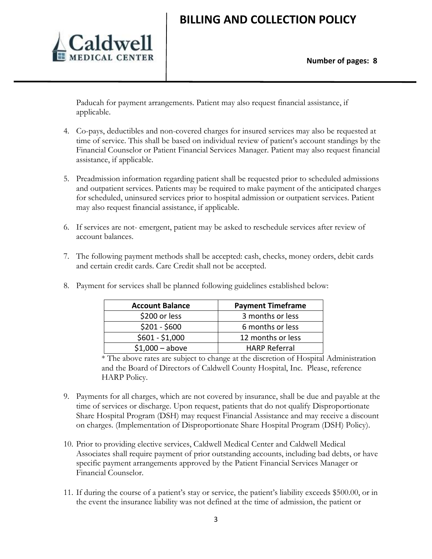

Paducah for payment arrangements. Patient may also request financial assistance, if applicable.

- 4. Co-pays, deductibles and non-covered charges for insured services may also be requested at time of service. This shall be based on individual review of patient's account standings by the Financial Counselor or Patient Financial Services Manager. Patient may also request financial assistance, if applicable.
- 5. Preadmission information regarding patient shall be requested prior to scheduled admissions and outpatient services. Patients may be required to make payment of the anticipated charges for scheduled, uninsured services prior to hospital admission or outpatient services. Patient may also request financial assistance, if applicable.
- 6. If services are not- emergent, patient may be asked to reschedule services after review of account balances.
- 7. The following payment methods shall be accepted: cash, checks, money orders, debit cards and certain credit cards. Care Credit shall not be accepted.

| <b>Account Balance</b> | <b>Payment Timeframe</b> |
|------------------------|--------------------------|
| \$200 or less          | 3 months or less         |
| $$201 - $600$          | 6 months or less         |
| $$601 - $1,000$        | 12 months or less        |
| $$1,000 - above$       | <b>HARP Referral</b>     |

8. Payment for services shall be planned following guidelines established below:

\* The above rates are subject to change at the discretion of Hospital Administration and the Board of Directors of Caldwell County Hospital, Inc. Please, reference HARP Policy.

- 9. Payments for all charges, which are not covered by insurance, shall be due and payable at the time of services or discharge. Upon request, patients that do not qualify Disproportionate Share Hospital Program (DSH) may request Financial Assistance and may receive a discount on charges. (Implementation of Disproportionate Share Hospital Program (DSH) Policy).
- 10. Prior to providing elective services, Caldwell Medical Center and Caldwell Medical Associates shall require payment of prior outstanding accounts, including bad debts, or have specific payment arrangements approved by the Patient Financial Services Manager or Financial Counselor.
- 11. If during the course of a patient's stay or service, the patient's liability exceeds \$500.00, or in the event the insurance liability was not defined at the time of admission, the patient or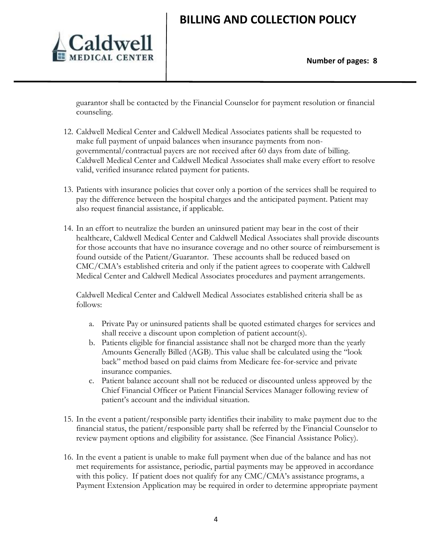

guarantor shall be contacted by the Financial Counselor for payment resolution or financial counseling.

- 12. Caldwell Medical Center and Caldwell Medical Associates patients shall be requested to make full payment of unpaid balances when insurance payments from nongovernmental/contractual payers are not received after 60 days from date of billing. Caldwell Medical Center and Caldwell Medical Associates shall make every effort to resolve valid, verified insurance related payment for patients.
- 13. Patients with insurance policies that cover only a portion of the services shall be required to pay the difference between the hospital charges and the anticipated payment. Patient may also request financial assistance, if applicable.
- 14. In an effort to neutralize the burden an uninsured patient may bear in the cost of their healthcare, Caldwell Medical Center and Caldwell Medical Associates shall provide discounts for those accounts that have no insurance coverage and no other source of reimbursement is found outside of the Patient/Guarantor. These accounts shall be reduced based on CMC/CMA's established criteria and only if the patient agrees to cooperate with Caldwell Medical Center and Caldwell Medical Associates procedures and payment arrangements.

Caldwell Medical Center and Caldwell Medical Associates established criteria shall be as follows:

- a. Private Pay or uninsured patients shall be quoted estimated charges for services and shall receive a discount upon completion of patient account(s).
- b. Patients eligible for financial assistance shall not be charged more than the yearly Amounts Generally Billed (AGB). This value shall be calculated using the "look back" method based on paid claims from Medicare fee-for-service and private insurance companies.
- c. Patient balance account shall not be reduced or discounted unless approved by the Chief Financial Officer or Patient Financial Services Manager following review of patient's account and the individual situation.
- 15. In the event a patient/responsible party identifies their inability to make payment due to the financial status, the patient/responsible party shall be referred by the Financial Counselor to review payment options and eligibility for assistance. (See Financial Assistance Policy).
- 16. In the event a patient is unable to make full payment when due of the balance and has not met requirements for assistance, periodic, partial payments may be approved in accordance with this policy. If patient does not qualify for any CMC/CMA's assistance programs, a Payment Extension Application may be required in order to determine appropriate payment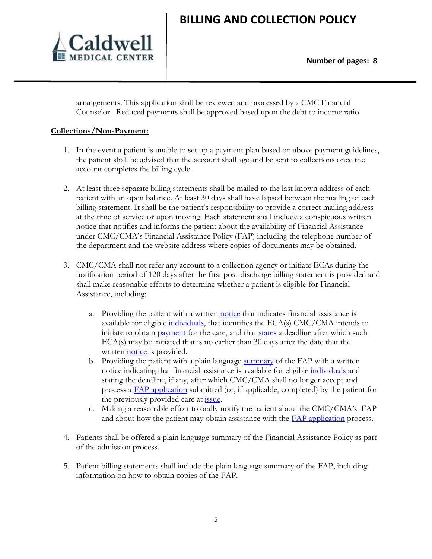

arrangements. This application shall be reviewed and processed by a CMC Financial Counselor. Reduced payments shall be approved based upon the debt to income ratio.

### **Collections/Non-Payment:**

- 1. In the event a patient is unable to set up a payment plan based on above payment guidelines, the patient shall be advised that the account shall age and be sent to collections once the account completes the billing cycle.
- 2. At least three separate billing statements shall be mailed to the last known address of each patient with an open balance. At least 30 days shall have lapsed between the mailing of each billing statement. It shall be the patient's responsibility to provide a correct mailing address at the time of service or upon moving. Each statement shall include a conspicuous written notice that notifies and informs the patient about the availability of Financial Assistance under CMC/CMA's Financial Assistance Policy (FAP) including the telephone number of the department and the website address where copies of documents may be obtained.
- 3. CMC/CMA shall not refer any account to a collection agency or initiate ECAs during the notification period of 120 days after the first post-discharge billing statement is provided and shall make reasonable efforts to determine whether a patient is eligible for Financial Assistance, including:
	- a. Providing the patient with a written [notice](https://www.law.cornell.edu/definitions/index.php?width=840&height=800&iframe=true&def_id=df1bf171ecb0825abd621747abbda83a&term_occur=2&term_src=Title:26:Chapter:I:Subchapter:A:Part:1:Subjgrp:1:1.501(r)-6) that indicates financial assistance is available for eligible [individuals,](https://www.law.cornell.edu/definitions/index.php?width=840&height=800&iframe=true&def_id=2df621360dbe949e49c36d476d908e43&term_occur=1&term_src=Title:26:Chapter:I:Subchapter:A:Part:1:Subjgrp:1:1.501(r)-6) that identifies the ECA(s) CMC/CMA intends to initiate to obtain [payment](https://www.law.cornell.edu/definitions/index.php?width=840&height=800&iframe=true&def_id=1ee8b271eb9ee59e360e16676f011b3d&term_occur=13&term_src=Title:26:Chapter:I:Subchapter:A:Part:1:Subjgrp:1:1.501(r)-6) for the care, and that [states](https://www.law.cornell.edu/definitions/index.php?width=840&height=800&iframe=true&def_id=a45df8fbb13bedd84720232a0a0dfa39&term_occur=2&term_src=Title:26:Chapter:I:Subchapter:A:Part:1:Subjgrp:1:1.501(r)-6) a deadline after which such ECA(s) may be initiated that is no earlier than 30 days after the date that the written **[notice](https://www.law.cornell.edu/definitions/index.php?width=840&height=800&iframe=true&def_id=df1bf171ecb0825abd621747abbda83a&term_occur=3&term_src=Title:26:Chapter:I:Subchapter:A:Part:1:Subjgrp:1:1.501(r)-6)** is provided.
	- b. Providing the patient with a plain language [summary](https://www.law.cornell.edu/definitions/index.php?width=840&height=800&iframe=true&def_id=91b2009e5958cd04ba276ce567358582&term_occur=1&term_src=Title:26:Chapter:I:Subchapter:A:Part:1:Subjgrp:1:1.501(r)-6) of the FAP with a written notice indicating that financial assistance is available for eligible *individuals* and stating the deadline, if any, after which CMC/CMA shall no longer accept and process a [FAP application](https://www.law.cornell.edu/definitions/index.php?width=840&height=800&iframe=true&def_id=3c149e2e37c3fa8749fdef357c9f19c4&term_occur=8&term_src=Title:26:Chapter:I:Subchapter:A:Part:1:Subjgrp:1:1.501(r)-6) submitted (or, if applicable, completed) by the patient for the previously provided care at *issue*.
	- c. Making a reasonable effort to orally notify the patient about the CMC/CMA's FAP and about how the patient may obtain assistance with the **FAP** application process.
- 4. Patients shall be offered a plain language summary of the Financial Assistance Policy as part of the admission process.
- 5. Patient billing statements shall include the plain language summary of the FAP, including information on how to obtain copies of the FAP.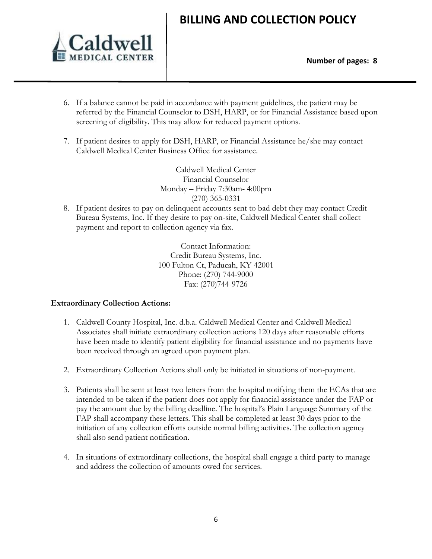

- 6. If a balance cannot be paid in accordance with payment guidelines, the patient may be referred by the Financial Counselor to DSH, HARP, or for Financial Assistance based upon screening of eligibility. This may allow for reduced payment options.
- 7. If patient desires to apply for DSH, HARP, or Financial Assistance he/she may contact Caldwell Medical Center Business Office for assistance.

Caldwell Medical Center Financial Counselor Monday – Friday 7:30am- 4:00pm (270) 365-0331

8. If patient desires to pay on delinquent accounts sent to bad debt they may contact Credit Bureau Systems, Inc. If they desire to pay on-site, Caldwell Medical Center shall collect payment and report to collection agency via fax.

> Contact Information: Credit Bureau Systems, Inc. 100 Fulton Ct, Paducah, KY 42001 Phone: (270) 744-9000 Fax: (270)744-9726

#### **Extraordinary Collection Actions:**

- 1. Caldwell County Hospital, Inc. d.b.a. Caldwell Medical Center and Caldwell Medical Associates shall initiate extraordinary collection actions 120 days after reasonable efforts have been made to identify patient eligibility for financial assistance and no payments have been received through an agreed upon payment plan.
- 2. Extraordinary Collection Actions shall only be initiated in situations of non-payment.
- 3. Patients shall be sent at least two letters from the hospital notifying them the ECAs that are intended to be taken if the patient does not apply for financial assistance under the FAP or pay the amount due by the billing deadline. The hospital's Plain Language Summary of the FAP shall accompany these letters. This shall be completed at least 30 days prior to the initiation of any collection efforts outside normal billing activities. The collection agency shall also send patient notification.
- 4. In situations of extraordinary collections, the hospital shall engage a third party to manage and address the collection of amounts owed for services.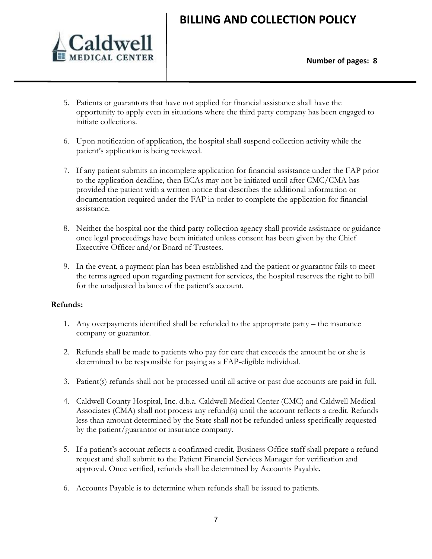

- 5. Patients or guarantors that have not applied for financial assistance shall have the opportunity to apply even in situations where the third party company has been engaged to initiate collections.
- 6. Upon notification of application, the hospital shall suspend collection activity while the patient's application is being reviewed.
- 7. If any patient submits an incomplete application for financial assistance under the FAP prior to the application deadline, then ECAs may not be initiated until after CMC/CMA has provided the patient with a written notice that describes the additional information or documentation required under the FAP in order to complete the application for financial assistance.
- 8. Neither the hospital nor the third party collection agency shall provide assistance or guidance once legal proceedings have been initiated unless consent has been given by the Chief Executive Officer and/or Board of Trustees.
- 9. In the event, a payment plan has been established and the patient or guarantor fails to meet the terms agreed upon regarding payment for services, the hospital reserves the right to bill for the unadjusted balance of the patient's account.

### **Refunds:**

- 1. Any overpayments identified shall be refunded to the appropriate party the insurance company or guarantor.
- 2. Refunds shall be made to patients who pay for care that exceeds the amount he or she is determined to be responsible for paying as a FAP-eligible individual.
- 3. Patient(s) refunds shall not be processed until all active or past due accounts are paid in full.
- 4. Caldwell County Hospital, Inc. d.b.a. Caldwell Medical Center (CMC) and Caldwell Medical Associates (CMA) shall not process any refund(s) until the account reflects a credit. Refunds less than amount determined by the State shall not be refunded unless specifically requested by the patient/guarantor or insurance company.
- 5. If a patient's account reflects a confirmed credit, Business Office staff shall prepare a refund request and shall submit to the Patient Financial Services Manager for verification and approval. Once verified, refunds shall be determined by Accounts Payable.
- 6. Accounts Payable is to determine when refunds shall be issued to patients.